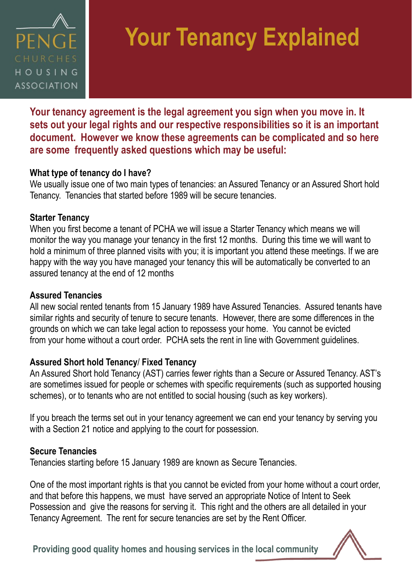

# **Your Tenancy Explained**

**Your tenancy agreement is the legal agreement you sign when you move in. It sets out your legal rights and our respective responsibilities so it is an important document. However we know these agreements can be complicated and so here are some frequently asked questions which may be useful:**

### **What type of tenancy do I have?**

We usually issue one of two main types of tenancies: an Assured Tenancy or an Assured Short hold Tenancy. Tenancies that started before 1989 will be secure tenancies.

#### **Starter Tenancy**

When you first become a tenant of PCHA we will issue a Starter Tenancy which means we will monitor the way you manage your tenancy in the first 12 months. During this time we will want to hold a minimum of three planned visits with you; it is important you attend these meetings. If we are happy with the way you have managed your tenancy this will be automatically be converted to an assured tenancy at the end of 12 months

### **Assured Tenancies**

All new social rented tenants from 15 January 1989 have Assured Tenancies. Assured tenants have similar rights and security of tenure to secure tenants. However, there are some differences in the grounds on which we can take legal action to repossess your home. You cannot be evicted from your home without a court order. PCHA sets the rent in line with Government guidelines.

### **Assured Short hold Tenancy**/ **Fixed Tenancy**

An Assured Short hold Tenancy (AST) carries fewer rights than a Secure or Assured Tenancy. AST's are sometimes issued for people or schemes with specific requirements (such as supported housing schemes), or to tenants who are not entitled to social housing (such as key workers).

If you breach the terms set out in your tenancy agreement we can end your tenancy by serving you with a Section 21 notice and applying to the court for possession.

### **Secure Tenancies**

Tenancies starting before 15 January 1989 are known as Secure Tenancies.

One of the most important rights is that you cannot be evicted from your home without a court order, and that before this happens, we must have served an appropriate Notice of Intent to Seek Possession and give the reasons for serving it. This right and the others are all detailed in your Tenancy Agreement. The rent for secure tenancies are set by the Rent Officer.

**Providing good quality homes and housing services in the local community**